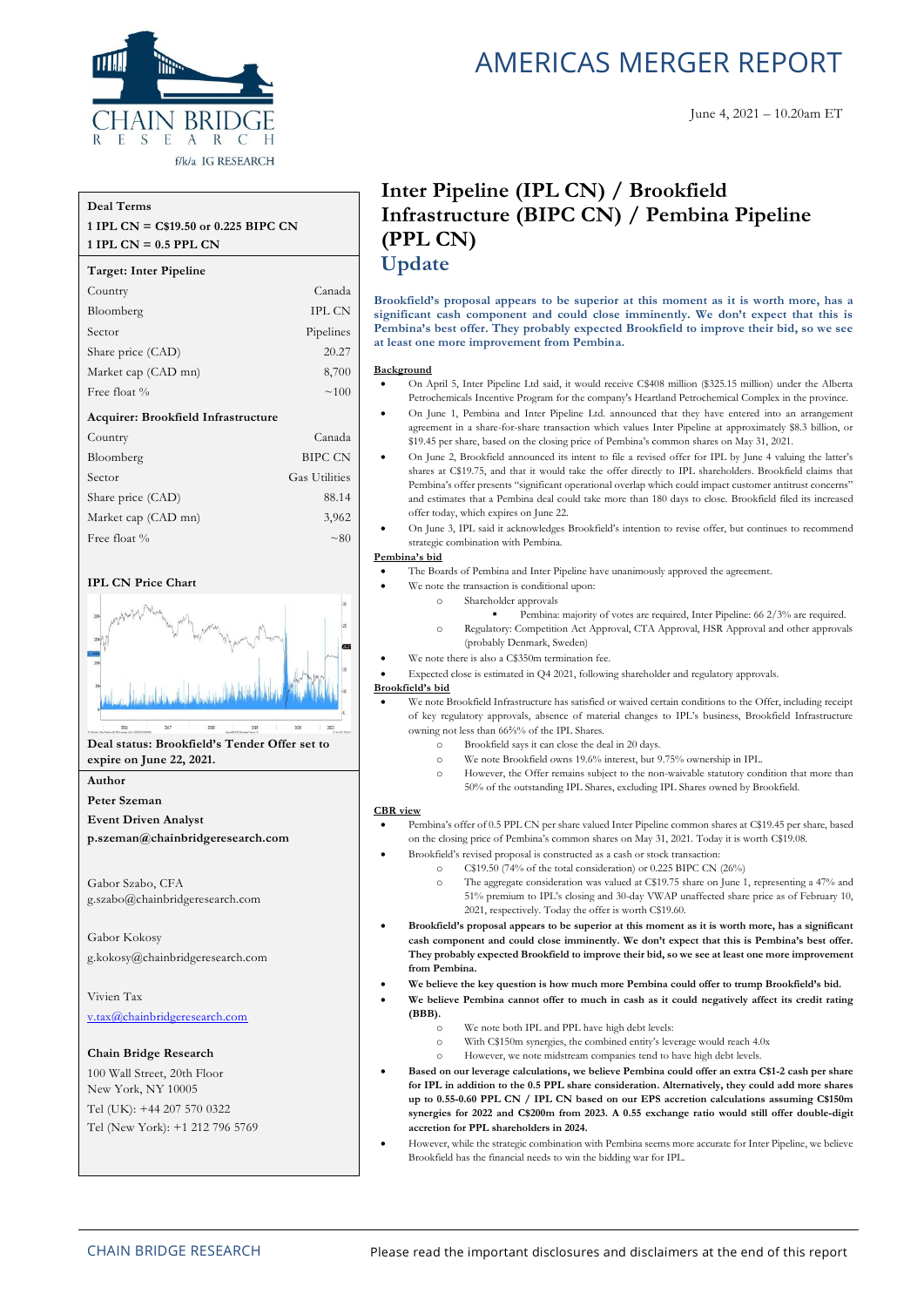

### f/k/a IG RESEARCH

#### **Deal Terms**

#### **1 IPL CN = C\$19.50 or 0.225 BIPC CN 1 IPL CN = 0.5 PPL CN**

#### **Target: Inter Pipeline**

| Country                             | Canada               |
|-------------------------------------|----------------------|
| Bloomberg                           | <b>IPL CN</b>        |
| Sector                              | Pipelines            |
| Share price (CAD)                   | 20.27                |
| Market cap (CAD mn)                 | 8,700                |
| Free float %                        | ~100                 |
| Acquirer: Brookfield Infrastructure |                      |
| Country                             | Canada               |
| Bloomberg                           | <b>BIPC CN</b>       |
| Sector                              | <b>Gas Utilities</b> |
| Share price (CAD)                   | 88.14                |
| Market cap (CAD mn)                 | 3,962                |
| Free float %                        | $\sim 80$            |

#### **IPL CN Price Chart**



### **Deal status: Brookfield's Tender Offer set to expire on June 22, 2021.**

**Author**

**Peter Szeman**

**Event Driven Analyst**

**p.szeman@chainbridgeresearch.com**

Gabor Szabo, CFA g.szabo@chainbridgeresearch.com

Gabor Kokosy g.kokosy@chainbridgeresearch.com

Vivien Tax [v.tax@chainbridgeresearch.com](mailto:v.tax@chainbridgeresearch.com)

#### **Chain Bridge Research**

100 Wall Street, 20th Floor New York, NY 10005 Tel (UK): +44 207 570 0322 Tel (New York): +1 212 796 5769

# AMERICAS MERGER REPORT

#### June 4, 2021 – 10.20am ET

# **Inter Pipeline (IPL CN) / Brookfield Infrastructure (BIPC CN) / Pembina Pipeline (PPL CN) Update**

**Brookfield's proposal appears to be superior at this moment as it is worth more, has a significant cash component and could close imminently. We don't expect that this is Pembina's best offer. They probably expected Brookfield to improve their bid, so we see at least one more improvement from Pembina.**

#### **Background**

- On April 5, Inter Pipeline Ltd said, it would receive C\$408 million (\$325.15 million) under the Alberta Petrochemicals Incentive Program for the company's Heartland Petrochemical Complex in the province.
- On June 1, Pembina and Inter Pipeline Ltd. announced that they have entered into an arrangement agreement in a share-for-share transaction which values Inter Pipeline at approximately \$8.3 billion, or \$19.45 per share, based on the closing price of Pembina's common shares on May 31, 2021.
- On June 2, Brookfield announced its intent to file a revised offer for IPL by June 4 valuing the latter's shares at C\$19.75, and that it would take the offer directly to IPL shareholders. Brookfield claims that Pembina's offer presents "significant operational overlap which could impact customer antitrust concerns" and estimates that a Pembina deal could take more than 180 days to close. Brookfield filed its increased offer today, which expires on June 22.
- On June 3, IPL said it acknowledges Brookfield's intention to revise offer, but continues to recommend strategic combination with Pembina.

#### **Pembina's bid**

- The Boards of Pembina and Inter Pipeline have unanimously approved the agreement.
	- We note the transaction is conditional upon:
		- Shareholder approvals
			- Pembina: majority of votes are required, Inter Pipeline: 66 2/3% are required.
		- o Regulatory: Competition Act Approval, CTA Approval, HSR Approval and other approvals (probably Denmark, Sweden)
	- We note there is also a C\$350m termination fee.
- Expected close is estimated in Q4 2021, following shareholder and regulatory approvals.

#### **Brookfield's bid**

- We note Brookfield Infrastructure has satisfied or waived certain conditions to the Offer, including receipt of key regulatory approvals, absence of material changes to IPL's business, Brookfield Infrastructure owning not less than 66⅔% of the IPL Shares.
	- o Brookfield says it can close the deal in 20 days.
	- o We note Brookfield owns 19.6% interest, but 9.75% ownership in IPL.
	- o However, the Offer remains subject to the non-waivable statutory condition that more than 50% of the outstanding IPL Shares, excluding IPL Shares owned by Brookfield.

#### **CBR view**

- Pembina's offer of 0.5 PPL CN per share valued Inter Pipeline common shares at C\$19.45 per share, based on the closing price of Pembina's common shares on May 31, 2021. Today it is worth C\$19.08.
- Brookfield's revised proposal is constructed as a cash or stock transaction:
	- $\degree$  C\$19.50 (74% of the total consideration) or 0.225 BIPC CN (26%)
	- o The aggregate consideration was valued at C\$19.75 share on June 1, representing a 47% and 51% premium to IPL's closing and 30-day VWAP unaffected share price as of February 10, 2021, respectively. Today the offer is worth C\$19.60.
- **Brookfield's proposal appears to be superior at this moment as it is worth more, has a significant cash component and could close imminently. We don't expect that this is Pembina's best offer. They probably expected Brookfield to improve their bid, so we see at least one more improvement from Pembina.**
- **We believe the key question is how much more Pembina could offer to trump Brookfield's bid.**
	- We believe Pembina cannot offer to much in cash as it could negatively affect its credit rating **(BBB).**
		- o We note both IPL and PPL have high debt levels:
		- o With C\$150m synergies, the combined entity's leverage would reach 4.0x
		- o However, we note midstream companies tend to have high debt levels.
- **Based on our leverage calculations, we believe Pembina could offer an extra C\$1-2 cash per share for IPL in addition to the 0.5 PPL share consideration. Alternatively, they could add more shares up to 0.55-0.60 PPL CN / IPL CN based on our EPS accretion calculations assuming C\$150m synergies for 2022 and C\$200m from 2023. A 0.55 exchange ratio would still offer double-digit accretion for PPL shareholders in 2024.**
- However, while the strategic combination with Pembina seems more accurate for Inter Pipeline, we believe Brookfield has the financial needs to win the bidding war for IPL.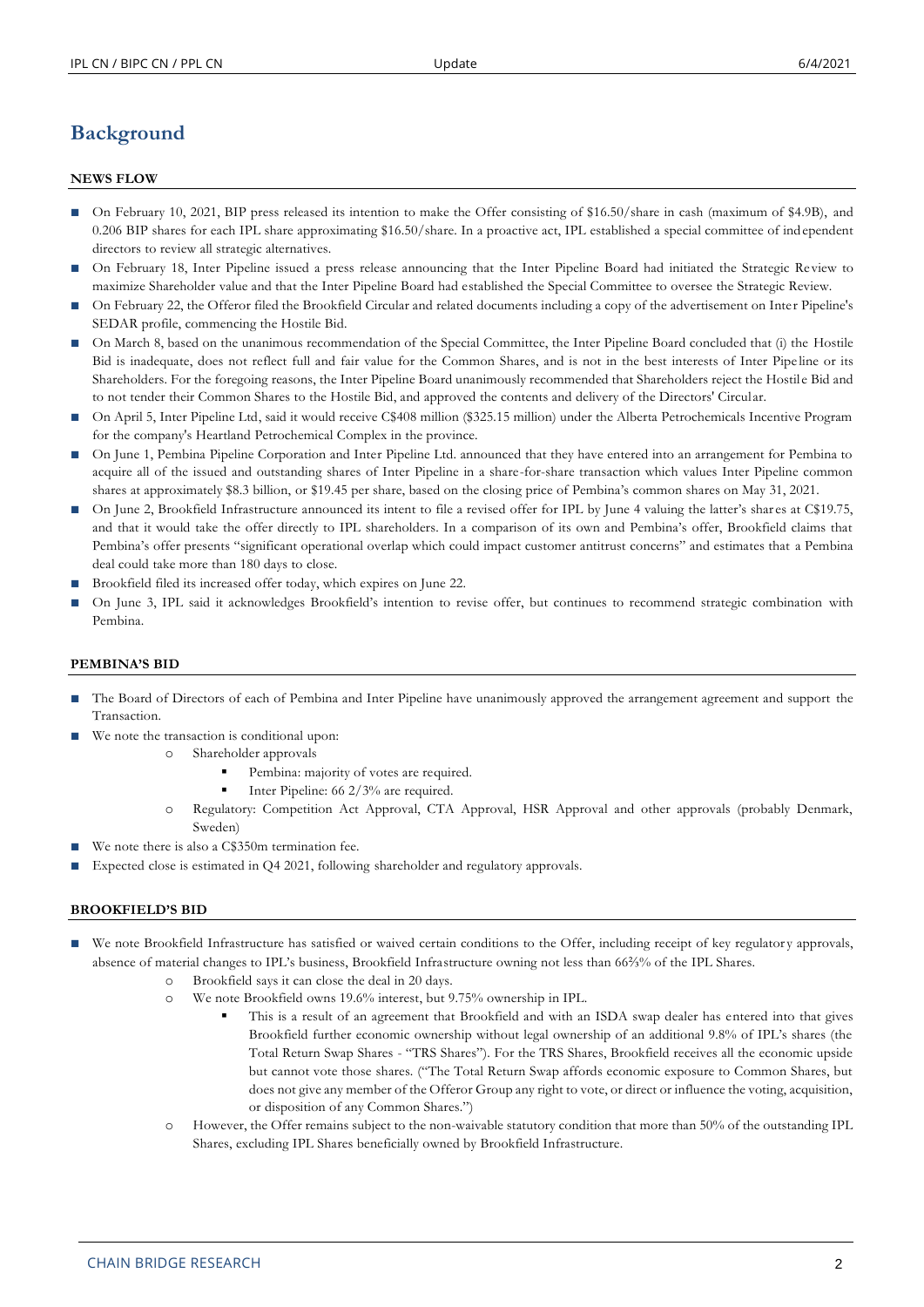# **Background**

### **NEWS FLOW**

- On February 10, 2021, BIP press released its intention to make the Offer consisting of \$16.50/share in cash (maximum of \$4.9B), and 0.206 BIP shares for each IPL share approximating \$16.50/share. In a proactive act, IPL established a special committee of independent directors to review all strategic alternatives.
- On February 18, Inter Pipeline issued a press release announcing that the Inter Pipeline Board had initiated the Strategic Review to maximize Shareholder value and that the Inter Pipeline Board had established the Special Committee to oversee the Strategic Review.
- On February 22, the Offeror filed the Brookfield Circular and related documents including a copy of the advertisement on Inter Pipeline's SEDAR profile, commencing the Hostile Bid.
- On March 8, based on the unanimous recommendation of the Special Committee, the Inter Pipeline Board concluded that (i) the Hostile Bid is inadequate, does not reflect full and fair value for the Common Shares, and is not in the best interests of Inter Pipe line or its Shareholders. For the foregoing reasons, the Inter Pipeline Board unanimously recommended that Shareholders reject the Hostile Bid and to not tender their Common Shares to the Hostile Bid, and approved the contents and delivery of the Directors' Circular.
- On April 5, Inter Pipeline Ltd, said it would receive C\$408 million (\$325.15 million) under the Alberta Petrochemicals Incentive Program for the company's Heartland Petrochemical Complex in the province.
- On June 1, Pembina Pipeline Corporation and Inter Pipeline Ltd. announced that they have entered into an arrangement for Pembina to acquire all of the issued and outstanding shares of Inter Pipeline in a share-for-share transaction which values Inter Pipeline common shares at approximately \$8.3 billion, or \$19.45 per share, based on the closing price of Pembina's common shares on May 31, 2021.
- On June 2, Brookfield Infrastructure announced its intent to file a revised offer for IPL by June 4 valuing the latter's shares at C\$19.75, and that it would take the offer directly to IPL shareholders. In a comparison of its own and Pembina's offer, Brookfield claims that Pembina's offer presents "significant operational overlap which could impact customer antitrust concerns" and estimates that a Pembina deal could take more than 180 days to close.
- Brookfield filed its increased offer today, which expires on June 22.
- On June 3, IPL said it acknowledges Brookfield's intention to revise offer, but continues to recommend strategic combination with Pembina.

# **PEMBINA'S BID**

- The Board of Directors of each of Pembina and Inter Pipeline have unanimously approved the arrangement agreement and support the Transaction.
- We note the transaction is conditional upon:
	- o Shareholder approvals
		- Pembina: majority of votes are required.
		- Inter Pipeline: 66 2/3% are required.
	- o Regulatory: Competition Act Approval, CTA Approval, HSR Approval and other approvals (probably Denmark, Sweden)
- We note there is also a C\$350m termination fee.
- Expected close is estimated in Q4 2021, following shareholder and regulatory approvals.

# **BROOKFIELD'S BID**

- We note Brookfield Infrastructure has satisfied or waived certain conditions to the Offer, including receipt of key regulatory approvals, absence of material changes to IPL's business, Brookfield Infrastructure owning not less than 66⅔% of the IPL Shares.
	- o Brookfield says it can close the deal in 20 days.
	- o We note Brookfield owns 19.6% interest, but 9.75% ownership in IPL.
		- This is a result of an agreement that Brookfield and with an ISDA swap dealer has entered into that gives Brookfield further economic ownership without legal ownership of an additional 9.8% of IPL's shares (the Total Return Swap Shares - "TRS Shares"). For the TRS Shares, Brookfield receives all the economic upside but cannot vote those shares. ("The Total Return Swap affords economic exposure to Common Shares, but does not give any member of the Offeror Group any right to vote, or direct or influence the voting, acquisition, or disposition of any Common Shares.")
	- o However, the Offer remains subject to the non-waivable statutory condition that more than 50% of the outstanding IPL Shares, excluding IPL Shares beneficially owned by Brookfield Infrastructure.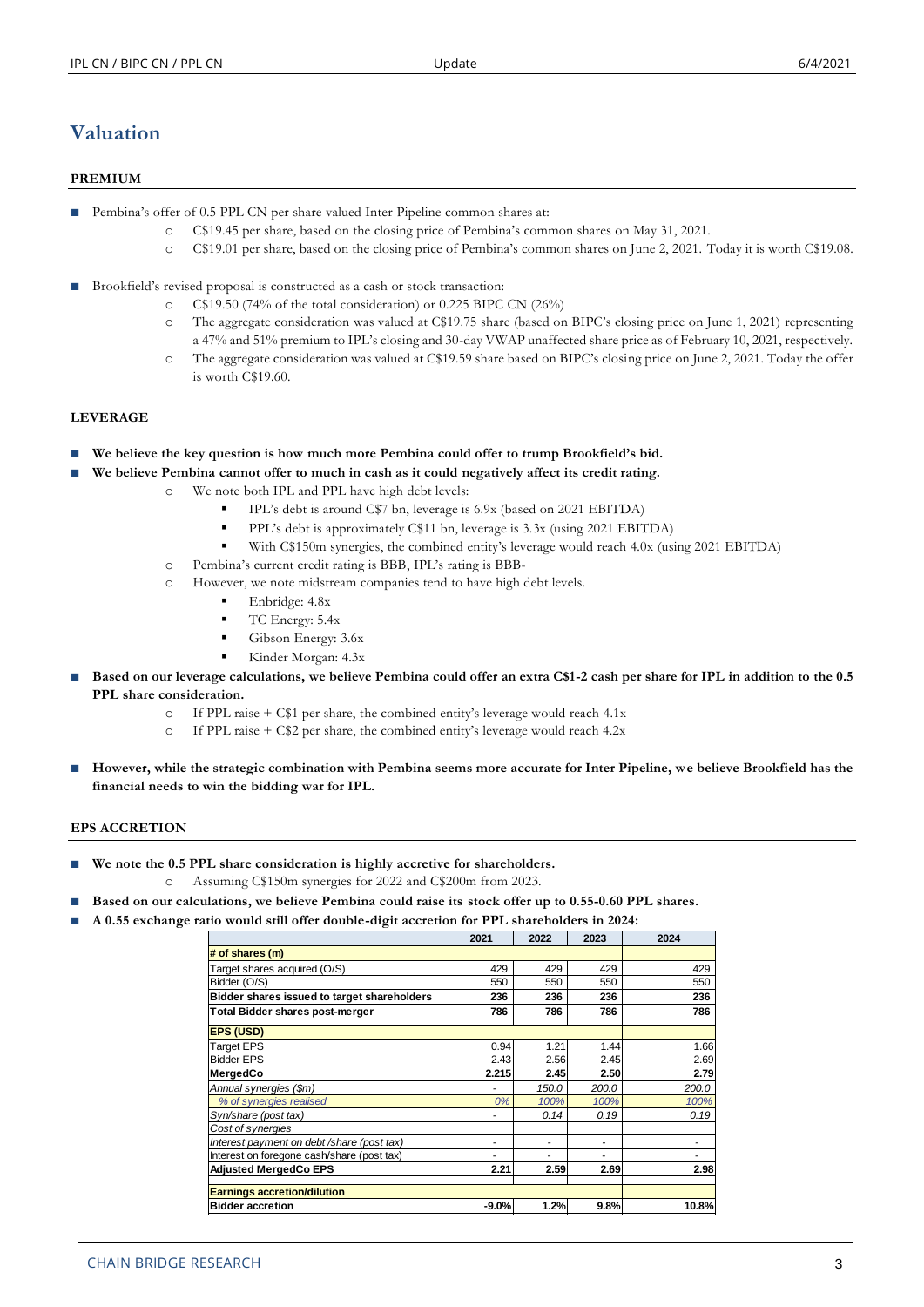# **Valuation**

# **PREMIUM**

- Pembina's offer of 0.5 PPL CN per share valued Inter Pipeline common shares at:
	- o C\$19.45 per share, based on the closing price of Pembina's common shares on May 31, 2021.
	- o C\$19.01 per share, based on the closing price of Pembina's common shares on June 2, 2021. Today it is worth C\$19.08.
- Brookfield's revised proposal is constructed as a cash or stock transaction:
	- o C\$19.50 (74% of the total consideration) or 0.225 BIPC CN (26%)
	- o The aggregate consideration was valued at C\$19.75 share (based on BIPC's closing price on June 1, 2021) representing a 47% and 51% premium to IPL's closing and 30-day VWAP unaffected share price as of February 10, 2021, respectively.
	- o The aggregate consideration was valued at C\$19.59 share based on BIPC's closing price on June 2, 2021. Today the offer is worth C\$19.60.

#### **LEVERAGE**

**■ We believe the key question is how much more Pembina could offer to trump Brookfield's bid.**

- **■ We believe Pembina cannot offer to much in cash as it could negatively affect its credit rating.**
	- o We note both IPL and PPL have high debt levels:
		- IPL's debt is around C\$7 bn, leverage is 6.9x (based on 2021 EBITDA)
		- PPL's debt is approximately C\$11 bn, leverage is 3.3x (using 2021 EBITDA)
		- With C\$150m synergies, the combined entity's leverage would reach 4.0x (using 2021 EBITDA)
	- o Pembina's current credit rating is BBB, IPL's rating is BBB-
	- o However, we note midstream companies tend to have high debt levels.
		- Enbridge: 4.8x
		- TC Energy:  $5.4x$
		- Gibson Energy: 3.6x
		- Kinder Morgan: 4.3x
- **Based on our leverage calculations, we believe Pembina could offer an extra C\$1-2 cash per share for IPL in addition to the 0.5 PPL share consideration.**
	- o If PPL raise + C\$1 per share, the combined entity's leverage would reach 4.1x
	- o If PPL raise + C\$2 per share, the combined entity's leverage would reach 4.2x
- However, while the strategic combination with Pembina seems more accurate for Inter Pipeline, we believe Brookfield has the **financial needs to win the bidding war for IPL.**

#### **EPS ACCRETION**

- **We note the 0.5 PPL share consideration is highly accretive for shareholders.** 
	- o Assuming C\$150m synergies for 2022 and C\$200m from 2023.
- **■ Based on our calculations, we believe Pembina could raise its stock offer up to 0.55-0.60 PPL shares.**
- **■ A 0.55 exchange ratio would still offer double-digit accretion for PPL shareholders in 2024:**

| ິ                                           |         |       |       |       |
|---------------------------------------------|---------|-------|-------|-------|
|                                             | 2021    | 2022  | 2023  | 2024  |
| # of shares (m)                             |         |       |       |       |
| Target shares acquired (O/S)                | 429     | 429   | 429   | 429   |
| Bidder (O/S)                                | 550     | 550   | 550   | 550   |
| Bidder shares issued to target shareholders | 236     | 236   | 236   | 236   |
| Total Bidder shares post-merger             | 786     | 786   | 786   | 786   |
| EPS (USD)                                   |         |       |       |       |
| <b>Target EPS</b>                           | 0.94    | 1.21  | 1.44  | 1.66  |
| <b>Bidder EPS</b>                           | 2.43    | 2.56  | 2.45  | 2.69  |
| MergedCo                                    | 2.215   | 2.45  | 2.50  | 2.79  |
| Annual synergies (\$m)                      | ٠       | 150.0 | 200.0 | 200.0 |
| % of synergies realised                     | 0%      | 100%  | 100%  | 100%  |
| Syn/share (post tax)                        | ٠       | 0.14  | 0.19  | 0.19  |
| Cost of synergies                           |         |       |       |       |
| Interest payment on debt /share (post tax)  | ٠       | ۰     | ۰     |       |
| Interest on foregone cash/share (post tax)  | ٠       |       |       |       |
| <b>Adjusted MergedCo EPS</b>                | 2.21    | 2.59  | 2.69  | 2.98  |
| <b>Earnings accretion/dilution</b>          |         |       |       |       |
| <b>Bidder accretion</b>                     | $-9.0%$ | 1.2%  | 9.8%  | 10.8% |